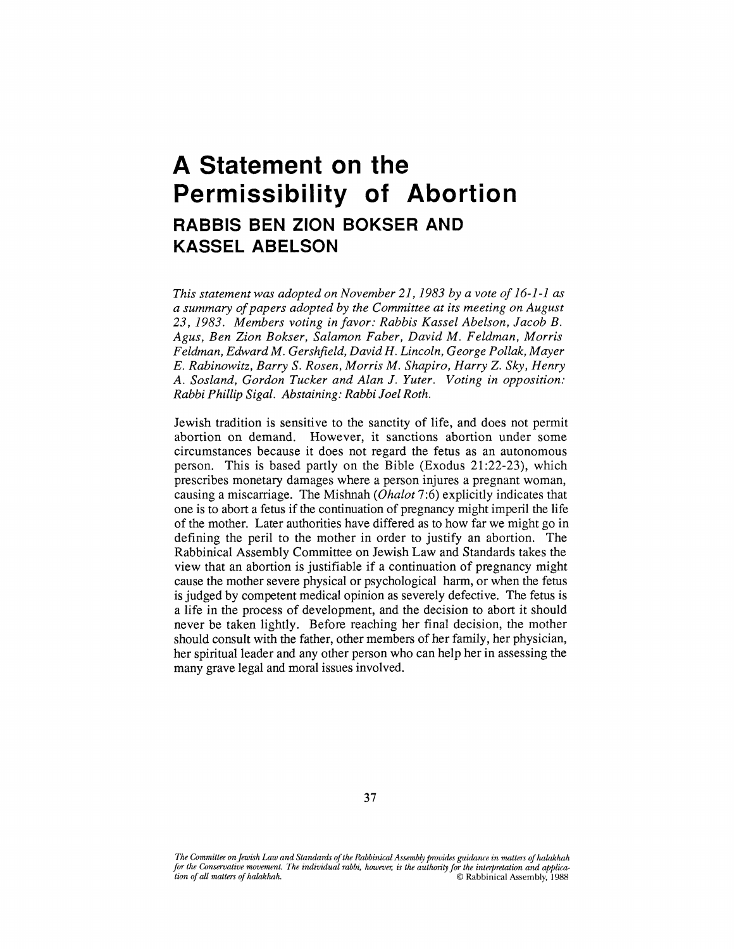## **A Statement on the Permissibility of Abortion RABBIS BEN ZION BOKSER AND KASSEL ABELSON**

*This statement was adopted on November 21,1983 by a vote of 16-1-1 as a summary of papers adopted by the Committee at its meeting on August 23, 1983. Members voting in favor: Rabbis Kassel Abelson, Jacob B. Agus, Ben Zion Bokser, Salamon Faber, David M. Feldman, Morris Feldman, Edward M. Gershfield, David H. Lincoln, George Pollak, Mayer E. Rabinowitz, Barry S. Rosen, Morris M. Shapiro, Harry* Z. *Sky, Henry A. Sosland, Gordon Tucker and Alan J. Yuter. Voting in opposition: Rabbi Phillip Sigal. Abstaining: Rabbi Joel Roth.* 

Jewish tradition is sensitive to the sanctity of life, and does not permit abortion on demand. However, it sanctions abortion under some circumstances because it does not regard the fetus as an autonomous person. This is based partly on the Bible (Exodus 21:22-23), which prescribes monetary damages where a person injures a pregnant woman, causing a miscarriage. The Mishnah *(Ohalot* 7:6) explicitly indicates that one is to abort a fetus if the continuation of pregnancy might imperil the life of the mother. Later authorities have differed as to how far we might go in defining the peril to the mother in order to justify an abortion. The Rabbinical Assembly Committee on Jewish Law and Standards takes the view that an abortion is justifiable if a continuation of pregnancy might cause the mother severe physical or psychological harm, or when the fetus is judged by competent medical opinion as severely defective. The fetus is a life in the process of development, and the decision to abort it should never be taken lightly. Before reaching her final decision, the mother should consult with the father, other members of her family, her physician, her spiritual leader and any other person who can help her in assessing the many grave legal and moral issues involved.

The Committee on Jewish Law and Standards of the Rabbinical Assembly provides guidance in matters of halakhah *for the Conservative movement. The individual rabbi, however; is the authority for the interpretation arul application of* all *matters of halakhah.* © Rabbinical Assembly, 1988